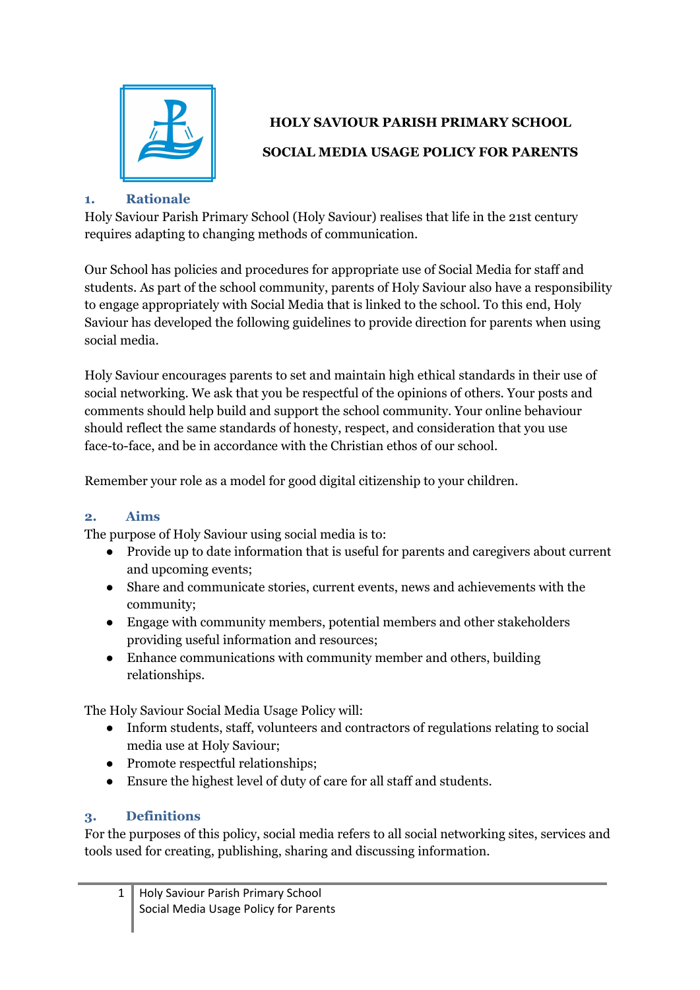

# **HOLY SAVIOUR PARISH PRIMARY SCHOOL**

## **SOCIAL MEDIA USAGE POLICY FOR PARENTS**

## **1. Rationale**

Holy Saviour Parish Primary School (Holy Saviour) realises that life in the 21st century requires adapting to changing methods of communication.

Our School has policies and procedures for appropriate use of Social Media for staff and students. As part of the school community, parents of Holy Saviour also have a responsibility to engage appropriately with Social Media that is linked to the school. To this end, Holy Saviour has developed the following guidelines to provide direction for parents when using social media.

Holy Saviour encourages parents to set and maintain high ethical standards in their use of social networking. We ask that you be respectful of the opinions of others. Your posts and comments should help build and support the school community. Your online behaviour should reflect the same standards of honesty, respect, and consideration that you use face-to-face, and be in accordance with the Christian ethos of our school.

Remember your role as a model for good digital citizenship to your children.

# **2. Aims**

The purpose of Holy Saviour using social media is to:

- Provide up to date information that is useful for parents and caregivers about current and upcoming events;
- Share and communicate stories, current events, news and achievements with the community;
- Engage with community members, potential members and other stakeholders providing useful information and resources;
- Enhance communications with community member and others, building relationships.

The Holy Saviour Social Media Usage Policy will:

- Inform students, staff, volunteers and contractors of regulations relating to social media use at Holy Saviour;
- Promote respectful relationships;
- Ensure the highest level of duty of care for all staff and students.

# **3. Definitions**

For the purposes of this policy, social media refers to all social networking sites, services and tools used for creating, publishing, sharing and discussing information.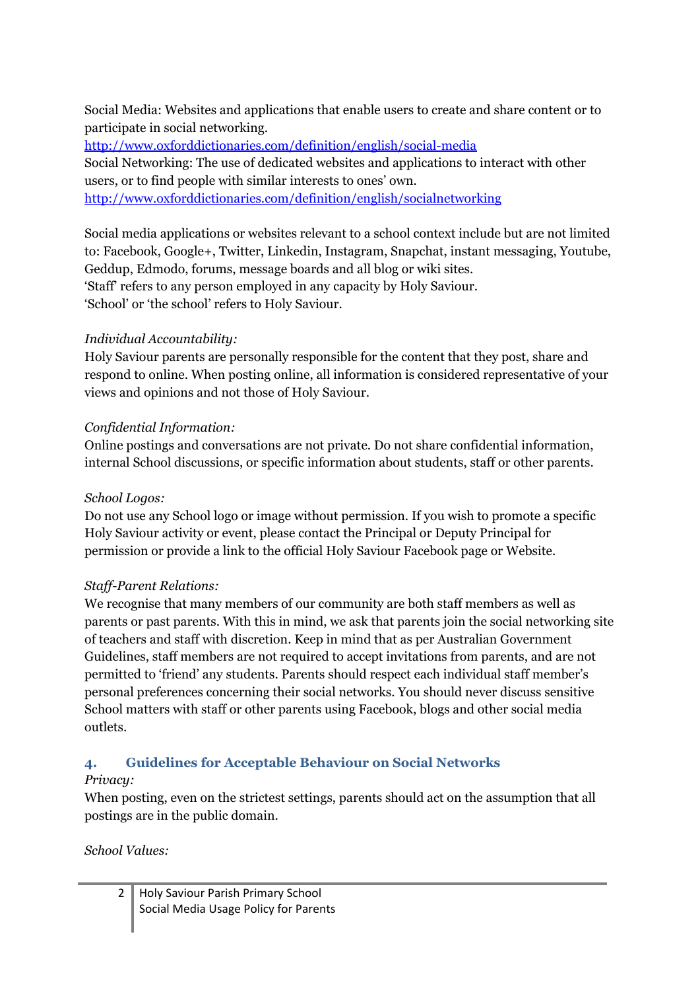Social Media: Websites and applications that enable users to create and share content or to participate in social networking.

<http://www.oxforddictionaries.com/definition/english/social-media> Social Networking: The use of dedicated websites and applications to interact with other users, or to find people with similar interests to ones' own. <http://www.oxforddictionaries.com/definition/english/socialnetworking>

Social media applications or websites relevant to a school context include but are not limited to: Facebook, Google+, Twitter, Linkedin, Instagram, Snapchat, instant messaging, Youtube, Geddup, Edmodo, forums, message boards and all blog or wiki sites. 'Staff' refers to any person employed in any capacity by Holy Saviour. 'School' or 'the school' refers to Holy Saviour.

#### *Individual Accountability:*

Holy Saviour parents are personally responsible for the content that they post, share and respond to online. When posting online, all information is considered representative of your views and opinions and not those of Holy Saviour.

#### *Confidential Information:*

Online postings and conversations are not private. Do not share confidential information, internal School discussions, or specific information about students, staff or other parents.

#### *School Logos:*

Do not use any School logo or image without permission. If you wish to promote a specific Holy Saviour activity or event, please contact the Principal or Deputy Principal for permission or provide a link to the official Holy Saviour Facebook page or Website.

## *Staf -Parent Relations:*

We recognise that many members of our community are both staff members as well as parents or past parents. With this in mind, we ask that parents join the social networking site of teachers and staff with discretion. Keep in mind that as per Australian Government Guidelines, staff members are not required to accept invitations from parents, and are not permitted to 'friend' any students. Parents should respect each individual staff member's personal preferences concerning their social networks. You should never discuss sensitive School matters with staff or other parents using Facebook, blogs and other social media outlets.

## **4. Guidelines for Acceptable Behaviour on Social Networks**

#### *Privacy:*

When posting, even on the strictest settings, parents should act on the assumption that all postings are in the public domain.

#### *School Values:*

| 2 Holy Saviour Parish Primary School  |
|---------------------------------------|
| Social Media Usage Policy for Parents |
|                                       |